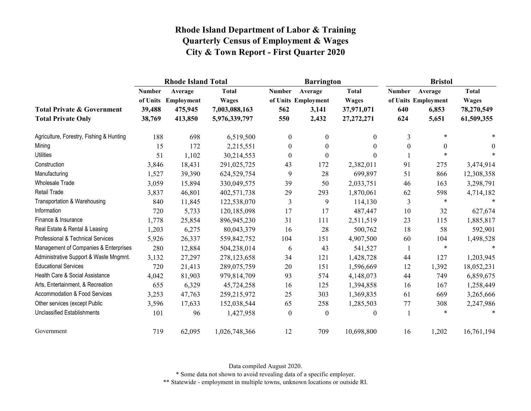|                                                                    |                                               | <b>Rhode Island Total</b>                   |                                                                |                             | <b>Barrington</b>                                |                                                            | <b>Bristol</b>              |                                                  |                                                          |
|--------------------------------------------------------------------|-----------------------------------------------|---------------------------------------------|----------------------------------------------------------------|-----------------------------|--------------------------------------------------|------------------------------------------------------------|-----------------------------|--------------------------------------------------|----------------------------------------------------------|
| <b>Total Private &amp; Government</b><br><b>Total Private Only</b> | <b>Number</b><br>of Units<br>39,488<br>38,769 | Average<br>Employment<br>475,945<br>413,850 | <b>Total</b><br><b>Wages</b><br>7,003,088,163<br>5,976,339,797 | <b>Number</b><br>562<br>550 | Average<br>of Units Employment<br>3,141<br>2,432 | <b>Total</b><br><b>Wages</b><br>37,971,071<br>27, 272, 271 | <b>Number</b><br>640<br>624 | Average<br>of Units Employment<br>6,853<br>5,651 | <b>Total</b><br><b>Wages</b><br>78,270,549<br>61,509,355 |
| Agriculture, Forestry, Fishing & Hunting                           | 188                                           | 698                                         | 6,519,500                                                      | $\mathbf{0}$                | $\mathbf{0}$                                     | 0                                                          | 3                           | $\ast$                                           | $\ast$                                                   |
| Mining                                                             | 15                                            | 172                                         | 2,215,551                                                      | $\mathbf{0}$                | $\mathbf{0}$                                     | 0                                                          | $\theta$                    | $\theta$                                         | $\theta$                                                 |
| <b>Utilities</b>                                                   | 51                                            | 1,102                                       | 30,214,553                                                     | $\boldsymbol{0}$            | $\boldsymbol{0}$                                 | $\Omega$                                                   |                             | $\ast$                                           | $\ast$                                                   |
| Construction                                                       | 3,846                                         | 18,431                                      | 291,025,725                                                    | 43                          | 172                                              | 2,382,011                                                  | 91                          | 275                                              | 3,474,914                                                |
| Manufacturing                                                      | 1,527                                         | 39,390                                      | 624,529,754                                                    | 9                           | 28                                               | 699,897                                                    | 51                          | 866                                              | 12,308,358                                               |
| Wholesale Trade                                                    | 3,059                                         | 15,894                                      | 330,049,575                                                    | 39                          | 50                                               | 2,033,751                                                  | 46                          | 163                                              | 3,298,791                                                |
| <b>Retail Trade</b>                                                | 3,837                                         | 46,801                                      | 402,571,738                                                    | 29                          | 293                                              | 1,870,061                                                  | 62                          | 598                                              | 4,714,182                                                |
| Transportation & Warehousing                                       | 840                                           | 11,845                                      | 122,538,070                                                    | 3                           | 9                                                | 114,130                                                    | 3                           | $\ast$                                           | $\star$                                                  |
| Information                                                        | 720                                           | 5,733                                       | 120,185,098                                                    | 17                          | 17                                               | 487,447                                                    | 10                          | 32                                               | 627,674                                                  |
| Finance & Insurance                                                | 1,778                                         | 25,854                                      | 896,945,230                                                    | 31                          | 111                                              | 2,511,519                                                  | 23                          | 115                                              | 1,885,817                                                |
| Real Estate & Rental & Leasing                                     | 1,203                                         | 6,275                                       | 80,043,379                                                     | 16                          | 28                                               | 500,762                                                    | 18                          | 58                                               | 592,901                                                  |
| Professional & Technical Services                                  | 5,926                                         | 26,337                                      | 559,842,752                                                    | 104                         | 151                                              | 4,907,500                                                  | 60                          | 104                                              | 1,498,528                                                |
| Management of Companies & Enterprises                              | 280                                           | 12,884                                      | 504,238,014                                                    | 6                           | 43                                               | 541,527                                                    | 1                           | $\ast$                                           |                                                          |
| Administrative Support & Waste Mngmnt.                             | 3,132                                         | 27,297                                      | 278,123,658                                                    | 34                          | 121                                              | 1,428,728                                                  | 44                          | 127                                              | 1,203,945                                                |
| <b>Educational Services</b>                                        | 720                                           | 21,413                                      | 289,075,759                                                    | 20                          | 151                                              | 1,596,669                                                  | 12                          | 1,392                                            | 18,052,231                                               |
| Health Care & Social Assistance                                    | 4,042                                         | 81,903                                      | 979,814,709                                                    | 93                          | 574                                              | 4,148,073                                                  | 44                          | 749                                              | 6,859,675                                                |
| Arts, Entertainment, & Recreation                                  | 655                                           | 6,329                                       | 45,724,258                                                     | 16                          | 125                                              | 1,394,858                                                  | 16                          | 167                                              | 1,258,449                                                |
| Accommodation & Food Services                                      | 3,253                                         | 47,763                                      | 259,215,972                                                    | 25                          | 303                                              | 1,369,835                                                  | 61                          | 669                                              | 3,265,666                                                |
| Other services (except Public                                      | 3,596                                         | 17,633                                      | 152,038,544                                                    | 65                          | 258                                              | 1,285,503                                                  | 77                          | 308                                              | 2,247,986                                                |
| <b>Unclassified Establishments</b>                                 | 101                                           | 96                                          | 1,427,958                                                      | $\boldsymbol{0}$            | $\boldsymbol{0}$                                 | 0                                                          |                             | *                                                | $\ast$                                                   |
| Government                                                         | 719                                           | 62,095                                      | 1,026,748,366                                                  | 12                          | 709                                              | 10,698,800                                                 | 16                          | 1,202                                            | 16,761,194                                               |

Data compiled August 2020.

\* Some data not shown to avoid revealing data of a specific employer.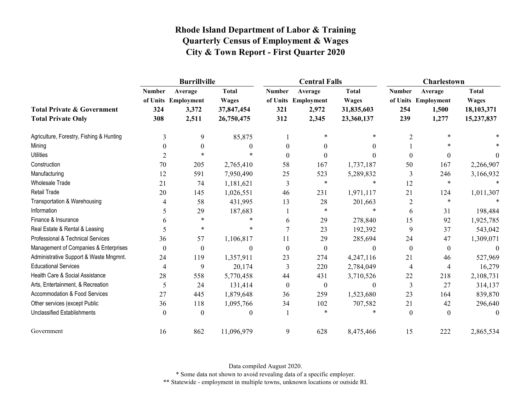|                                                                    |                             | <b>Burrillville</b>                              |                                                          |                             | <b>Central Falls</b>                             |                                                          | <b>Charlestown</b>          |                                                  |                                                          |
|--------------------------------------------------------------------|-----------------------------|--------------------------------------------------|----------------------------------------------------------|-----------------------------|--------------------------------------------------|----------------------------------------------------------|-----------------------------|--------------------------------------------------|----------------------------------------------------------|
| <b>Total Private &amp; Government</b><br><b>Total Private Only</b> | <b>Number</b><br>324<br>308 | Average<br>of Units Employment<br>3,372<br>2,511 | <b>Total</b><br><b>Wages</b><br>37,847,454<br>26,750,475 | <b>Number</b><br>321<br>312 | Average<br>of Units Employment<br>2,972<br>2,345 | <b>Total</b><br><b>Wages</b><br>31,835,603<br>23,360,137 | <b>Number</b><br>254<br>239 | Average<br>of Units Employment<br>1,500<br>1,277 | <b>Total</b><br><b>Wages</b><br>18,103,371<br>15,237,837 |
| Agriculture, Forestry, Fishing & Hunting                           | 3                           | 9                                                | 85,875                                                   |                             | $\ast$                                           | *                                                        | 2                           |                                                  |                                                          |
| Mining                                                             | ∩                           | 0                                                | 0                                                        | 0                           | 0                                                | 0                                                        |                             |                                                  |                                                          |
| <b>Utilities</b>                                                   | 2                           | $\star$                                          |                                                          |                             |                                                  |                                                          | $\theta$                    | $\theta$                                         | $\Omega$                                                 |
| Construction                                                       | 70                          | 205                                              | 2,765,410                                                | 58                          | 167                                              | 1,737,187                                                | 50                          | 167                                              | 2,266,907                                                |
| Manufacturing                                                      | 12                          | 591                                              | 7,950,490                                                | 25                          | 523                                              | 5,289,832                                                | 3                           | 246                                              | 3,166,932                                                |
| Wholesale Trade                                                    | 21                          | 74                                               | 1,181,621                                                | 3                           | $\ast$                                           | $\ast$                                                   | 12                          | $\ast$                                           |                                                          |
| <b>Retail Trade</b>                                                | 20                          | 145                                              | 1,026,551                                                | 46                          | 231                                              | 1,971,117                                                | 21                          | 124                                              | 1,011,307                                                |
| Transportation & Warehousing                                       |                             | 58                                               | 431,995                                                  | 13                          | 28                                               | 201,663                                                  | $\overline{c}$              | $\ast$                                           |                                                          |
| Information                                                        | 5                           | 29                                               | 187,683                                                  |                             | $\ast$                                           | $\ast$                                                   | 6                           | 31                                               | 198,484                                                  |
| Finance & Insurance                                                |                             | $\ast$                                           |                                                          | 6                           | 29                                               | 278,840                                                  | 15                          | 92                                               | 1,925,785                                                |
| Real Estate & Rental & Leasing                                     | 5                           | $\ast$                                           | $\ast$                                                   |                             | 23                                               | 192,392                                                  | 9                           | 37                                               | 543,042                                                  |
| Professional & Technical Services                                  | 36                          | 57                                               | 1,106,817                                                | 11                          | 29                                               | 285,694                                                  | 24                          | 47                                               | 1,309,071                                                |
| Management of Companies & Enterprises                              | $\theta$                    | $\boldsymbol{0}$                                 | $\theta$                                                 | $\theta$                    | $\theta$                                         | $\theta$                                                 | $\mathbf{0}$                | $\mathbf{0}$                                     | $\theta$                                                 |
| Administrative Support & Waste Mngmnt.                             | 24                          | 119                                              | 1,357,911                                                | 23                          | 274                                              | 4,247,116                                                | 21                          | 46                                               | 527,969                                                  |
| <b>Educational Services</b>                                        | 4                           | 9                                                | 20,174                                                   | 3                           | 220                                              | 2,784,049                                                | $\overline{4}$              | 4                                                | 16,279                                                   |
| Health Care & Social Assistance                                    | 28                          | 558                                              | 5,770,458                                                | 44                          | 431                                              | 3,710,526                                                | 22                          | 218                                              | 2,108,731                                                |
| Arts, Entertainment, & Recreation                                  | 5                           | 24                                               | 131,414                                                  | $\theta$                    | $\mathbf{0}$                                     | $\theta$                                                 | 3                           | 27                                               | 314,137                                                  |
| Accommodation & Food Services                                      | 27                          | 445                                              | 1,879,648                                                | 36                          | 259                                              | 1,523,680                                                | 23                          | 164                                              | 839,870                                                  |
| Other services (except Public                                      | 36                          | 118                                              | 1,095,766                                                | 34                          | 102                                              | 707,582                                                  | 21                          | 42                                               | 296,640                                                  |
| <b>Unclassified Establishments</b>                                 | $\theta$                    | $\theta$                                         | 0                                                        |                             | $\star$                                          |                                                          | $\mathbf{0}$                | $\theta$                                         | 0                                                        |
| Government                                                         | 16                          | 862                                              | 11,096,979                                               | 9                           | 628                                              | 8,475,466                                                | 15                          | 222                                              | 2,865,534                                                |

Data compiled August 2020.

\* Some data not shown to avoid revealing data of a specific employer.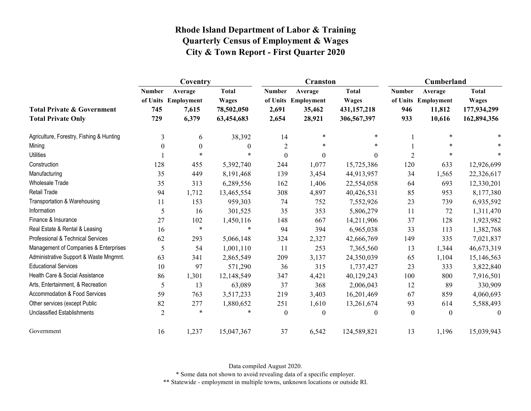|                                                                    |                             | Coventry                                         |                                                          |                                 | <b>Cranston</b>                                    |                                                            | Cumberland                  |                                                    |                                                            |
|--------------------------------------------------------------------|-----------------------------|--------------------------------------------------|----------------------------------------------------------|---------------------------------|----------------------------------------------------|------------------------------------------------------------|-----------------------------|----------------------------------------------------|------------------------------------------------------------|
| <b>Total Private &amp; Government</b><br><b>Total Private Only</b> | <b>Number</b><br>745<br>729 | Average<br>of Units Employment<br>7,615<br>6,379 | <b>Total</b><br><b>Wages</b><br>78,502,050<br>63,454,683 | <b>Number</b><br>2,691<br>2,654 | Average<br>of Units Employment<br>35,462<br>28,921 | <b>Total</b><br><b>Wages</b><br>431,157,218<br>306,567,397 | <b>Number</b><br>946<br>933 | Average<br>of Units Employment<br>11,812<br>10,616 | <b>Total</b><br><b>Wages</b><br>177,934,299<br>162,894,356 |
| Agriculture, Forestry, Fishing & Hunting                           | 3                           | 6                                                | 38,392                                                   | 14                              | $\ast$                                             | $\ast$                                                     |                             | $\ast$                                             |                                                            |
| Mining                                                             | $\theta$                    | $\boldsymbol{0}$                                 | $\theta$                                                 | $\overline{2}$                  | $\ast$                                             | $\star$                                                    |                             | $\ast$                                             |                                                            |
| <b>Utilities</b>                                                   |                             | $\star$                                          | $\ast$                                                   | $\boldsymbol{0}$                | $\overline{0}$                                     | $\Omega$                                                   | $\overline{2}$              | $\ast$                                             | $\ast$                                                     |
| Construction                                                       | 128                         | 455                                              | 5,392,740                                                | 244                             | 1,077                                              | 15,725,386                                                 | 120                         | 633                                                | 12,926,699                                                 |
| Manufacturing                                                      | 35                          | 449                                              | 8,191,468                                                | 139                             | 3,454                                              | 44,913,957                                                 | 34                          | 1,565                                              | 22,326,617                                                 |
| <b>Wholesale Trade</b>                                             | 35                          | 313                                              | 6,289,556                                                | 162                             | 1,406                                              | 22,554,058                                                 | 64                          | 693                                                | 12,330,201                                                 |
| Retail Trade                                                       | 94                          | 1,712                                            | 13,465,554                                               | 308                             | 4,897                                              | 40,426,531                                                 | 85                          | 953                                                | 8,177,380                                                  |
| Transportation & Warehousing                                       | 11                          | 153                                              | 959,303                                                  | 74                              | 752                                                | 7,552,926                                                  | 23                          | 739                                                | 6,935,592                                                  |
| Information                                                        | 5                           | 16                                               | 301,525                                                  | 35                              | 353                                                | 5,806,279                                                  | 11                          | 72                                                 | 1,311,470                                                  |
| Finance & Insurance                                                | 27                          | 102                                              | 1,450,116                                                | 148                             | 667                                                | 14,211,906                                                 | 37                          | 128                                                | 1,923,982                                                  |
| Real Estate & Rental & Leasing                                     | 16                          | $\ast$                                           | $\ast$                                                   | 94                              | 394                                                | 6,965,038                                                  | 33                          | 113                                                | 1,382,768                                                  |
| Professional & Technical Services                                  | 62                          | 293                                              | 5,066,148                                                | 324                             | 2,327                                              | 42,666,769                                                 | 149                         | 335                                                | 7,021,837                                                  |
| Management of Companies & Enterprises                              | 5                           | 54                                               | 1,001,110                                                | 11                              | 253                                                | 7,365,560                                                  | 13                          | 1,344                                              | 46,673,319                                                 |
| Administrative Support & Waste Mngmnt.                             | 63                          | 341                                              | 2,865,549                                                | 209                             | 3,137                                              | 24,350,039                                                 | 65                          | 1,104                                              | 15,146,563                                                 |
| <b>Educational Services</b>                                        | 10                          | 97                                               | 571,290                                                  | 36                              | 315                                                | 1,737,427                                                  | 23                          | 333                                                | 3,822,840                                                  |
| Health Care & Social Assistance                                    | 86                          | 1,301                                            | 12,148,549                                               | 347                             | 4,421                                              | 40,129,243                                                 | 100                         | 800                                                | 7,916,501                                                  |
| Arts, Entertainment, & Recreation                                  | 5                           | 13                                               | 63,089                                                   | 37                              | 368                                                | 2,006,043                                                  | 12                          | 89                                                 | 330,909                                                    |
| <b>Accommodation &amp; Food Services</b>                           | 59                          | 763                                              | 3,517,233                                                | 219                             | 3,403                                              | 16,201,469                                                 | 67                          | 859                                                | 4,060,693                                                  |
| Other services (except Public                                      | 82                          | 277                                              | 1,880,652                                                | 251                             | 1,610                                              | 13,261,674                                                 | 93                          | 614                                                | 5,588,493                                                  |
| <b>Unclassified Establishments</b>                                 | $\overline{2}$              | $\ast$                                           | $\ast$                                                   | $\boldsymbol{0}$                | $\boldsymbol{0}$                                   | $\theta$                                                   | $\boldsymbol{0}$            | $\boldsymbol{0}$                                   | $\theta$                                                   |
| Government                                                         | 16                          | 1,237                                            | 15,047,367                                               | 37                              | 6,542                                              | 124,589,821                                                | 13                          | 1,196                                              | 15,039,943                                                 |

Data compiled August 2020.

\* Some data not shown to avoid revealing data of a specific employer.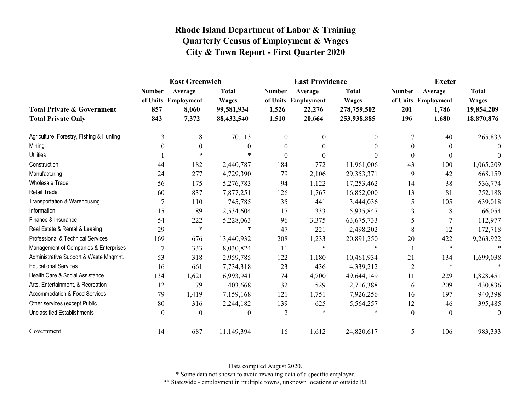|                                                                    | <b>East Greenwich</b>       |                                                  |                                                          |                                 | <b>East Providence</b>                             |                                                            | <b>Exeter</b>               |                                                  |                                                          |
|--------------------------------------------------------------------|-----------------------------|--------------------------------------------------|----------------------------------------------------------|---------------------------------|----------------------------------------------------|------------------------------------------------------------|-----------------------------|--------------------------------------------------|----------------------------------------------------------|
| <b>Total Private &amp; Government</b><br><b>Total Private Only</b> | <b>Number</b><br>857<br>843 | Average<br>of Units Employment<br>8,060<br>7,372 | <b>Total</b><br><b>Wages</b><br>99,581,934<br>88,432,540 | <b>Number</b><br>1,526<br>1,510 | Average<br>of Units Employment<br>22,276<br>20,664 | <b>Total</b><br><b>Wages</b><br>278,759,502<br>253,938,885 | <b>Number</b><br>201<br>196 | Average<br>of Units Employment<br>1,786<br>1,680 | <b>Total</b><br><b>Wages</b><br>19,854,209<br>18,870,876 |
| Agriculture, Forestry, Fishing & Hunting                           | 3                           | 8                                                | 70,113                                                   | 0                               | $\theta$                                           | $\theta$                                                   | 7                           | 40                                               | 265,833                                                  |
| Mining                                                             | $\theta$                    | $\mathbf{0}$                                     | $\Omega$                                                 | $\theta$                        | $\Omega$                                           | $\Omega$                                                   | $\Omega$                    | $\theta$                                         | $\Omega$                                                 |
| <b>Utilities</b>                                                   |                             | $\star$                                          |                                                          | $\boldsymbol{0}$                | 0                                                  | $\Omega$                                                   | $\boldsymbol{0}$            | $\boldsymbol{0}$                                 |                                                          |
| Construction                                                       | 44                          | 182                                              | 2,440,787                                                | 184                             | 772                                                | 11,961,006                                                 | 43                          | 100                                              | 1,065,209                                                |
| Manufacturing                                                      | 24                          | 277                                              | 4,729,390                                                | 79                              | 2,106                                              | 29,353,371                                                 | 9                           | 42                                               | 668,159                                                  |
| <b>Wholesale Trade</b>                                             | 56                          | 175                                              | 5,276,783                                                | 94                              | 1,122                                              | 17,253,462                                                 | 14                          | 38                                               | 536,774                                                  |
| Retail Trade                                                       | 60                          | 837                                              | 7,877,251                                                | 126                             | 1,767                                              | 16,852,000                                                 | 13                          | 81                                               | 752,188                                                  |
| Transportation & Warehousing                                       | 7                           | 110                                              | 745,785                                                  | 35                              | 441                                                | 3,444,036                                                  | 5                           | 105                                              | 639,018                                                  |
| Information                                                        | 15                          | 89                                               | 2,534,604                                                | 17                              | 333                                                | 5,935,847                                                  | 3                           | 8                                                | 66,054                                                   |
| Finance & Insurance                                                | 54                          | 222                                              | 5,228,063                                                | 96                              | 3,375                                              | 63, 675, 733                                               | 5                           | 7                                                | 112,977                                                  |
| Real Estate & Rental & Leasing                                     | 29                          | $\ast$                                           | $*$                                                      | 47                              | 221                                                | 2,498,202                                                  | 8                           | 12                                               | 172,718                                                  |
| Professional & Technical Services                                  | 169                         | 676                                              | 13,440,932                                               | 208                             | 1,233                                              | 20,891,250                                                 | 20                          | 422                                              | 9,263,922                                                |
| Management of Companies & Enterprises                              | 7                           | 333                                              | 8,030,824                                                | 11                              | $\ast$                                             |                                                            |                             | $\ast$                                           |                                                          |
| Administrative Support & Waste Mngmnt.                             | 53                          | 318                                              | 2,959,785                                                | 122                             | 1,180                                              | 10,461,934                                                 | 21                          | 134                                              | 1,699,038                                                |
| <b>Educational Services</b>                                        | 16                          | 661                                              | 7,734,318                                                | 23                              | 436                                                | 4,339,212                                                  | $\overline{2}$              | $\ast$                                           |                                                          |
| Health Care & Social Assistance                                    | 134                         | 1,621                                            | 16,993,941                                               | 174                             | 4,700                                              | 49,644,149                                                 | 11                          | 229                                              | 1,828,451                                                |
| Arts, Entertainment, & Recreation                                  | 12                          | 79                                               | 403,668                                                  | 32                              | 529                                                | 2,716,388                                                  | 6                           | 209                                              | 430,836                                                  |
| Accommodation & Food Services                                      | 79                          | 1,419                                            | 7,159,168                                                | 121                             | 1,751                                              | 7,926,256                                                  | 16                          | 197                                              | 940,398                                                  |
| Other services (except Public                                      | 80                          | 316                                              | 2,244,182                                                | 139                             | 625                                                | 5,564,257                                                  | 12                          | 46                                               | 395,485                                                  |
| <b>Unclassified Establishments</b>                                 | $\mathbf{0}$                | $\theta$                                         | $\theta$                                                 | $\overline{2}$                  | $\ast$                                             |                                                            | $\mathbf{0}$                | $\mathbf{0}$                                     | $\theta$                                                 |
| Government                                                         | 14                          | 687                                              | 11,149,394                                               | 16                              | 1,612                                              | 24,820,617                                                 | 5                           | 106                                              | 983,333                                                  |

Data compiled August 2020.

\* Some data not shown to avoid revealing data of a specific employer.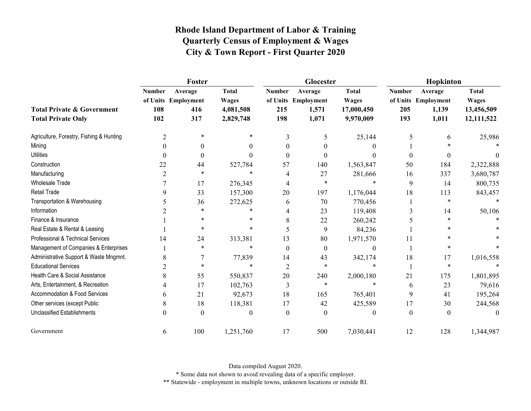|                                                                    | Foster                      |                                              |                                                        |                             | Glocester                                        |                                                         | Hopkinton                   |                                                  |                                                          |
|--------------------------------------------------------------------|-----------------------------|----------------------------------------------|--------------------------------------------------------|-----------------------------|--------------------------------------------------|---------------------------------------------------------|-----------------------------|--------------------------------------------------|----------------------------------------------------------|
| <b>Total Private &amp; Government</b><br><b>Total Private Only</b> | <b>Number</b><br>108<br>102 | Average<br>of Units Employment<br>416<br>317 | <b>Total</b><br><b>Wages</b><br>4,081,508<br>2,829,748 | <b>Number</b><br>215<br>198 | Average<br>of Units Employment<br>1,571<br>1,071 | <b>Total</b><br><b>Wages</b><br>17,000,450<br>9,970,009 | <b>Number</b><br>205<br>193 | Average<br>of Units Employment<br>1,139<br>1,011 | <b>Total</b><br><b>Wages</b><br>13,456,509<br>12,111,522 |
| Agriculture, Forestry, Fishing & Hunting                           | 2                           | $\ast$                                       | $\ast$                                                 | 3                           | 5                                                | 25,144                                                  | 5                           | 6                                                | 25,986                                                   |
| Mining                                                             | $\Omega$                    | $\theta$                                     | 0                                                      | 0                           | 0                                                |                                                         |                             |                                                  |                                                          |
| <b>Utilities</b>                                                   | $\theta$                    | $\boldsymbol{0}$                             | 0                                                      | $\theta$                    | 0                                                | 0                                                       | $\boldsymbol{0}$            | $\theta$                                         |                                                          |
| Construction                                                       | 22                          | 44                                           | 527,784                                                | 57                          | 140                                              | 1,563,847                                               | 50                          | 184                                              | 2,322,888                                                |
| Manufacturing                                                      | 2                           | $\ast$                                       | $\ast$                                                 | 4                           | 27                                               | 281,666                                                 | 16                          | 337                                              | 3,680,787                                                |
| Wholesale Trade                                                    |                             | 17                                           | 276,345                                                | 4                           | $\ast$                                           | $\ast$                                                  | 9                           | 14                                               | 800,735                                                  |
| <b>Retail Trade</b>                                                | 9                           | 33                                           | 157,300                                                | 20                          | 197                                              | 1,176,044                                               | 18                          | 113                                              | 843,457                                                  |
| Transportation & Warehousing                                       |                             | 36                                           | 272,625                                                | 6                           | 70                                               | 770,456                                                 |                             | $\ast$                                           |                                                          |
| Information                                                        |                             | $\ast$                                       | $\ast$                                                 | 4                           | 23                                               | 119,408                                                 |                             | 14                                               | 50,106                                                   |
| Finance & Insurance                                                |                             | $\ast$                                       | $\ast$                                                 | 8                           | 22                                               | 260,242                                                 |                             | *                                                |                                                          |
| Real Estate & Rental & Leasing                                     |                             | $\ast$                                       | $\ast$                                                 | 5                           | 9                                                | 84,236                                                  |                             |                                                  |                                                          |
| Professional & Technical Services                                  | 14                          | 24                                           | 313,381                                                | 13                          | 80                                               | 1,971,570                                               | 11                          | $\ast$                                           |                                                          |
| Management of Companies & Enterprises                              |                             | $\ast$                                       | $\ast$                                                 | $\theta$                    | $\theta$                                         | $\theta$                                                |                             | $\ast$                                           |                                                          |
| Administrative Support & Waste Mngmnt.                             | 8                           |                                              | 77,839                                                 | 14                          | 43                                               | 342,174                                                 | 18                          | 17                                               | 1,016,558                                                |
| <b>Educational Services</b>                                        | 2                           | $\ast$                                       | $\ast$                                                 | 2                           | $\ast$                                           | 法                                                       |                             | $\ast$                                           |                                                          |
| Health Care & Social Assistance                                    | 8                           | 55                                           | 550,837                                                | 20                          | 240                                              | 2,000,180                                               | 21                          | 175                                              | 1,801,895                                                |
| Arts, Entertainment, & Recreation                                  |                             | 17                                           | 102,763                                                | 3                           | $\ast$                                           | $\star$                                                 | 6                           | 23                                               | 79,616                                                   |
| Accommodation & Food Services                                      | 6                           | 21                                           | 92,673                                                 | 18                          | 165                                              | 765,401                                                 | 9                           | 41                                               | 195,264                                                  |
| Other services (except Public                                      | 8                           | 18                                           | 118,381                                                | 17                          | 42                                               | 425,589                                                 | 17                          | 30                                               | 244,568                                                  |
| <b>Unclassified Establishments</b>                                 | 0                           | $\theta$                                     | 0                                                      | $\Omega$                    | $\Omega$                                         | 0                                                       | $\theta$                    | $\theta$                                         | $\theta$                                                 |
| Government                                                         | 6                           | 100                                          | 1,251,760                                              | 17                          | 500                                              | 7,030,441                                               | 12                          | 128                                              | 1,344,987                                                |

Data compiled August 2020.

\* Some data not shown to avoid revealing data of a specific employer.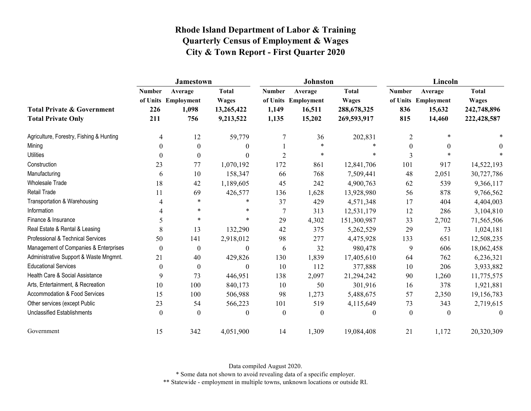|                                                                    | <b>Jamestown</b>            |                                                |                                                         |                                 | <b>Johnston</b>                                    |                                                            | Lincoln                     |                                                    |                                                            |
|--------------------------------------------------------------------|-----------------------------|------------------------------------------------|---------------------------------------------------------|---------------------------------|----------------------------------------------------|------------------------------------------------------------|-----------------------------|----------------------------------------------------|------------------------------------------------------------|
| <b>Total Private &amp; Government</b><br><b>Total Private Only</b> | <b>Number</b><br>226<br>211 | Average<br>of Units Employment<br>1,098<br>756 | <b>Total</b><br><b>Wages</b><br>13,265,422<br>9,213,522 | <b>Number</b><br>1,149<br>1,135 | Average<br>of Units Employment<br>16,511<br>15,202 | <b>Total</b><br><b>Wages</b><br>288,678,325<br>269,593,917 | <b>Number</b><br>836<br>815 | Average<br>of Units Employment<br>15,632<br>14,460 | <b>Total</b><br><b>Wages</b><br>242,748,896<br>222,428,587 |
| Agriculture, Forestry, Fishing & Hunting                           | 4                           | 12                                             | 59,779                                                  | 7                               | 36                                                 | 202,831                                                    | $\overline{2}$              | *                                                  |                                                            |
| Mining                                                             | 0                           | $\theta$                                       | $\theta$                                                |                                 | $\ast$                                             | $\star$                                                    | $\overline{0}$              | $\theta$                                           | $\Omega$                                                   |
| <b>Utilities</b>                                                   | 0                           | $\boldsymbol{0}$                               | $\theta$                                                | $\overline{2}$                  | $\ast$                                             | $\ast$                                                     | 3                           | $\ast$                                             |                                                            |
| Construction                                                       | 23                          | 77                                             | 1,070,192                                               | 172                             | 861                                                | 12,841,706                                                 | 101                         | 917                                                | 14,522,193                                                 |
| Manufacturing                                                      | 6                           | 10                                             | 158,347                                                 | 66                              | 768                                                | 7,509,441                                                  | 48                          | 2,051                                              | 30,727,786                                                 |
| Wholesale Trade                                                    | 18                          | 42                                             | 1,189,605                                               | 45                              | 242                                                | 4,900,763                                                  | 62                          | 539                                                | 9,366,117                                                  |
| <b>Retail Trade</b>                                                | 11                          | 69                                             | 426,577                                                 | 136                             | 1,628                                              | 13,928,980                                                 | 56                          | 878                                                | 9,766,562                                                  |
| Transportation & Warehousing                                       | 4                           | $\ast$                                         | $\ast$                                                  | 37                              | 429                                                | 4,571,348                                                  | 17                          | 404                                                | 4,404,003                                                  |
| Information                                                        |                             | $\ast$                                         | *                                                       | $\tau$                          | 313                                                | 12,531,179                                                 | 12                          | 286                                                | 3,104,810                                                  |
| Finance & Insurance                                                | 5                           | $\ast$                                         | $\ast$                                                  | 29                              | 4,302                                              | 151,300,987                                                | 33                          | 2,702                                              | 71,565,506                                                 |
| Real Estate & Rental & Leasing                                     | 8                           | 13                                             | 132,290                                                 | 42                              | 375                                                | 5,262,529                                                  | 29                          | 73                                                 | 1,024,181                                                  |
| Professional & Technical Services                                  | 50                          | 141                                            | 2,918,012                                               | 98                              | 277                                                | 4,475,928                                                  | 133                         | 651                                                | 12,508,235                                                 |
| Management of Companies & Enterprises                              | 0                           | $\boldsymbol{0}$                               | $\boldsymbol{0}$                                        | 6                               | 32                                                 | 980,478                                                    | 9                           | 606                                                | 18,062,458                                                 |
| Administrative Support & Waste Mngmnt.                             | 21                          | 40                                             | 429,826                                                 | 130                             | 1,839                                              | 17,405,610                                                 | 64                          | 762                                                | 6,236,321                                                  |
| <b>Educational Services</b>                                        | 0                           | $\theta$                                       | $\theta$                                                | 10                              | 112                                                | 377,888                                                    | 10                          | 206                                                | 3,933,882                                                  |
| Health Care & Social Assistance                                    | 9                           | 73                                             | 446,951                                                 | 138                             | 2,097                                              | 21,294,242                                                 | 90                          | 1,260                                              | 11,775,575                                                 |
| Arts, Entertainment, & Recreation                                  | 10                          | 100                                            | 840,173                                                 | 10                              | 50                                                 | 301,916                                                    | 16                          | 378                                                | 1,921,881                                                  |
| Accommodation & Food Services                                      | 15                          | 100                                            | 506,988                                                 | 98                              | 1,273                                              | 5,488,675                                                  | 57                          | 2,350                                              | 19,156,783                                                 |
| Other services (except Public                                      | 23                          | 54                                             | 566,223                                                 | 101                             | 519                                                | 4,115,649                                                  | 73                          | 343                                                | 2,719,615                                                  |
| <b>Unclassified Establishments</b>                                 | 0                           | $\Omega$                                       | $\mathbf{0}$                                            | $\theta$                        | $\boldsymbol{0}$                                   | $\mathbf{0}$                                               | $\mathbf{0}$                | $\theta$                                           | 0                                                          |
| Government                                                         | 15                          | 342                                            | 4,051,900                                               | 14                              | 1,309                                              | 19,084,408                                                 | 21                          | 1,172                                              | 20,320,309                                                 |

Data compiled August 2020.

\* Some data not shown to avoid revealing data of a specific employer.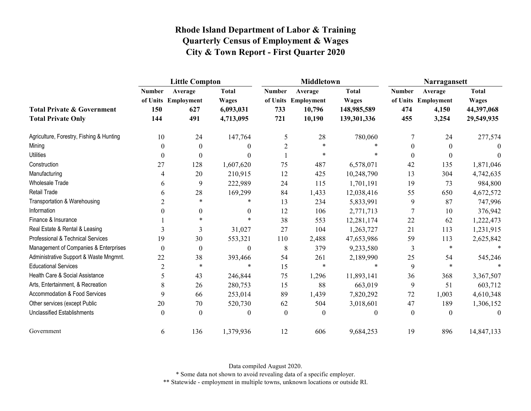|                                                                    |                             | <b>Little Compton</b>                        |                                                        |                             | <b>Middletown</b>                                  |                                                            | Narragansett                |                                                  |                                                          |
|--------------------------------------------------------------------|-----------------------------|----------------------------------------------|--------------------------------------------------------|-----------------------------|----------------------------------------------------|------------------------------------------------------------|-----------------------------|--------------------------------------------------|----------------------------------------------------------|
| <b>Total Private &amp; Government</b><br><b>Total Private Only</b> | <b>Number</b><br>150<br>144 | Average<br>of Units Employment<br>627<br>491 | <b>Total</b><br><b>Wages</b><br>6,093,031<br>4,713,095 | <b>Number</b><br>733<br>721 | Average<br>of Units Employment<br>10,796<br>10,190 | <b>Total</b><br><b>Wages</b><br>148,985,589<br>139,301,336 | <b>Number</b><br>474<br>455 | Average<br>of Units Employment<br>4,150<br>3,254 | <b>Total</b><br><b>Wages</b><br>44,397,068<br>29,549,935 |
| Agriculture, Forestry, Fishing & Hunting                           | 10                          | 24                                           | 147,764                                                | 5                           | 28                                                 | 780,060                                                    | 7                           | 24                                               | 277,574                                                  |
| Mining                                                             | $\theta$                    | $\boldsymbol{0}$                             | 0                                                      | $\overline{2}$              | $\ast$                                             |                                                            | $\Omega$                    | $\overline{0}$                                   | $\theta$                                                 |
| <b>Utilities</b>                                                   | $\boldsymbol{0}$            | $\boldsymbol{0}$                             | 0                                                      |                             | $\ast$                                             |                                                            | $\boldsymbol{0}$            | $\boldsymbol{0}$                                 |                                                          |
| Construction                                                       | 27                          | 128                                          | 1,607,620                                              | 75                          | 487                                                | 6,578,071                                                  | 42                          | 135                                              | 1,871,046                                                |
| Manufacturing                                                      | 4                           | 20                                           | 210,915                                                | 12                          | 425                                                | 10,248,790                                                 | 13                          | 304                                              | 4,742,635                                                |
| Wholesale Trade                                                    | 6                           | 9                                            | 222,989                                                | 24                          | 115                                                | 1,701,191                                                  | 19                          | 73                                               | 984,800                                                  |
| Retail Trade                                                       | 6                           | 28                                           | 169,299                                                | 84                          | 1,433                                              | 12,038,416                                                 | 55                          | 650                                              | 4,672,572                                                |
| Transportation & Warehousing                                       | $\overline{2}$              | $\ast$                                       |                                                        | 13                          | 234                                                | 5,833,991                                                  | 9                           | 87                                               | 747,996                                                  |
| Information                                                        | 0                           | $\boldsymbol{0}$                             | $\theta$                                               | 12                          | 106                                                | 2,771,713                                                  | 7                           | 10                                               | 376,942                                                  |
| Finance & Insurance                                                |                             | $\ast$                                       |                                                        | 38                          | 553                                                | 12,281,174                                                 | 22                          | 62                                               | 1,222,473                                                |
| Real Estate & Rental & Leasing                                     | 3                           | 3                                            | 31,027                                                 | 27                          | 104                                                | 1,263,727                                                  | 21                          | 113                                              | 1,231,915                                                |
| Professional & Technical Services                                  | 19                          | 30                                           | 553,321                                                | $110\,$                     | 2,488                                              | 47,653,986                                                 | 59                          | 113                                              | 2,625,842                                                |
| Management of Companies & Enterprises                              | $\theta$                    | $\boldsymbol{0}$                             | $\theta$                                               | 8                           | 379                                                | 9,233,580                                                  | 3                           | $\ast$                                           |                                                          |
| Administrative Support & Waste Mngmnt.                             | 22                          | 38                                           | 393,466                                                | 54                          | 261                                                | 2,189,990                                                  | 25                          | 54                                               | 545,246                                                  |
| <b>Educational Services</b>                                        | $\overline{2}$              | $\ast$                                       | $\star$                                                | 15                          | $\ast$                                             |                                                            | 9                           | $\ast$                                           |                                                          |
| Health Care & Social Assistance                                    | 5                           | 43                                           | 246,844                                                | 75                          | 1,296                                              | 11,893,141                                                 | 36                          | 368                                              | 3,367,507                                                |
| Arts, Entertainment, & Recreation                                  | 8                           | 26                                           | 280,753                                                | 15                          | 88                                                 | 663,019                                                    | 9                           | 51                                               | 603,712                                                  |
| Accommodation & Food Services                                      | 9                           | 66                                           | 253,014                                                | 89                          | 1,439                                              | 7,820,292                                                  | 72                          | 1,003                                            | 4,610,348                                                |
| Other services (except Public                                      | 20                          | 70                                           | 520,730                                                | 62                          | 504                                                | 3,018,601                                                  | 47                          | 189                                              | 1,306,152                                                |
| <b>Unclassified Establishments</b>                                 | $\mathbf{0}$                | $\boldsymbol{0}$                             | 0                                                      | $\mathbf{0}$                | $\theta$                                           | $\Omega$                                                   | $\theta$                    | $\theta$                                         | $\theta$                                                 |
| Government                                                         | 6                           | 136                                          | 1,379,936                                              | 12                          | 606                                                | 9,684,253                                                  | 19                          | 896                                              | 14,847,133                                               |

Data compiled August 2020.

\* Some data not shown to avoid revealing data of a specific employer.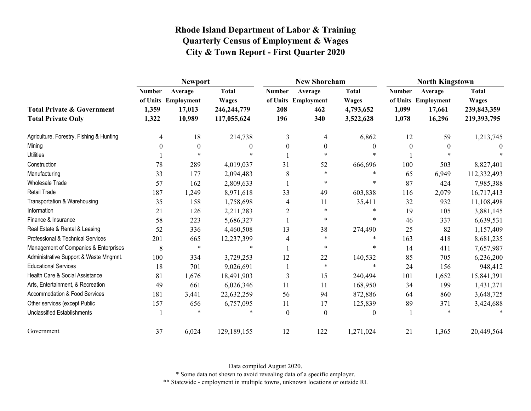|                                                                    |                                 | <b>Newport</b>                                     |                                                              |                             | <b>New Shoreham</b>                          |                                                        | <b>North Kingstown</b>          |                                                    |                                                            |  |
|--------------------------------------------------------------------|---------------------------------|----------------------------------------------------|--------------------------------------------------------------|-----------------------------|----------------------------------------------|--------------------------------------------------------|---------------------------------|----------------------------------------------------|------------------------------------------------------------|--|
| <b>Total Private &amp; Government</b><br><b>Total Private Only</b> | <b>Number</b><br>1,359<br>1,322 | Average<br>of Units Employment<br>17,013<br>10,989 | <b>Total</b><br><b>Wages</b><br>246, 244, 779<br>117,055,624 | <b>Number</b><br>208<br>196 | Average<br>of Units Employment<br>462<br>340 | <b>Total</b><br><b>Wages</b><br>4,793,652<br>3,522,628 | <b>Number</b><br>1,099<br>1,078 | Average<br>of Units Employment<br>17,661<br>16,296 | <b>Total</b><br><b>Wages</b><br>239,843,359<br>219,393,795 |  |
| Agriculture, Forestry, Fishing & Hunting                           | 4                               | 18                                                 | 214,738                                                      | 3                           | 4                                            | 6,862                                                  | 12                              | 59                                                 | 1,213,745                                                  |  |
| Mining                                                             | $\Omega$                        | $\theta$                                           | 0                                                            | $\theta$                    | $\theta$                                     | $\theta$                                               | $\theta$                        | $\theta$                                           | $\theta$                                                   |  |
| <b>Utilities</b>                                                   |                                 | $*$                                                | $\star$                                                      |                             | $\star$                                      | $\ast$                                                 |                                 |                                                    |                                                            |  |
| Construction                                                       | 78                              | 289                                                | 4,019,037                                                    | 31                          | 52                                           | 666,696                                                | 100                             | 503                                                | 8,827,401                                                  |  |
| Manufacturing                                                      | 33                              | 177                                                | 2,094,483                                                    | 8                           | $\ast$                                       | $\ast$                                                 | 65                              | 6,949                                              | 112,332,493                                                |  |
| <b>Wholesale Trade</b>                                             | 57                              | 162                                                | 2,809,633                                                    |                             | $\ast$                                       | $\ast$                                                 | 87                              | 424                                                | 7,985,388                                                  |  |
| Retail Trade                                                       | 187                             | 1,249                                              | 8,971,618                                                    | 33                          | 49                                           | 603,838                                                | 116                             | 2,079                                              | 16,717,413                                                 |  |
| Transportation & Warehousing                                       | 35                              | 158                                                | 1,758,698                                                    | 4                           | 11                                           | 35,411                                                 | 32                              | 932                                                | 11,108,498                                                 |  |
| Information                                                        | 21                              | 126                                                | 2,211,283                                                    | $\overline{2}$              | $\ast$                                       | $\ast$                                                 | 19                              | 105                                                | 3,881,145                                                  |  |
| Finance & Insurance                                                | 58                              | 223                                                | 5,686,327                                                    |                             | $\ast$                                       | $\ast$                                                 | 46                              | 337                                                | 6,639,531                                                  |  |
| Real Estate & Rental & Leasing                                     | 52                              | 336                                                | 4,460,508                                                    | 13                          | 38                                           | 274,490                                                | 25                              | 82                                                 | 1,157,409                                                  |  |
| Professional & Technical Services                                  | 201                             | 665                                                | 12,237,399                                                   | 4                           | $\ast$                                       | $\ast$                                                 | 163                             | 418                                                | 8,681,235                                                  |  |
| Management of Companies & Enterprises                              | 8                               | $\ast$                                             | $\ast$                                                       |                             | $\ast$                                       | $\ast$                                                 | 14                              | 411                                                | 7,657,987                                                  |  |
| Administrative Support & Waste Mngmnt.                             | 100                             | 334                                                | 3,729,253                                                    | 12                          | $22\,$                                       | 140,532                                                | 85                              | 705                                                | 6,236,200                                                  |  |
| <b>Educational Services</b>                                        | 18                              | 701                                                | 9,026,691                                                    |                             | $\ast$                                       | $\ast$                                                 | 24                              | 156                                                | 948,412                                                    |  |
| Health Care & Social Assistance                                    | 81                              | 1,676                                              | 18,491,903                                                   | 3                           | 15                                           | 240,494                                                | 101                             | 1,652                                              | 15,841,391                                                 |  |
| Arts, Entertainment, & Recreation                                  | 49                              | 661                                                | 6,026,346                                                    | 11                          | 11                                           | 168,950                                                | 34                              | 199                                                | 1,431,271                                                  |  |
| <b>Accommodation &amp; Food Services</b>                           | 181                             | 3,441                                              | 22,632,259                                                   | 56                          | 94                                           | 872,886                                                | 64                              | 860                                                | 3,648,725                                                  |  |
| Other services (except Public                                      | 157                             | 656                                                | 6,757,095                                                    | 11                          | 17                                           | 125,839                                                | 89                              | 371                                                | 3,424,688                                                  |  |
| Unclassified Establishments                                        |                                 | $\ast$                                             | $\ast$                                                       | $\theta$                    | $\boldsymbol{0}$                             | $\mathbf{0}$                                           |                                 | $\ast$                                             |                                                            |  |
| Government                                                         | 37                              | 6,024                                              | 129,189,155                                                  | 12                          | 122                                          | 1,271,024                                              | 21                              | 1,365                                              | 20,449,564                                                 |  |

Data compiled August 2020.

\* Some data not shown to avoid revealing data of a specific employer.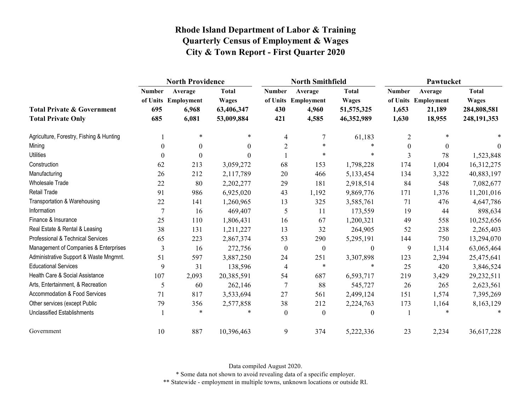|                                                                    | <b>North Providence</b>     |                                                  |                                                          |                             | <b>North Smithfield</b>                          |                                                            | Pawtucket                       |                                                    |                                                              |
|--------------------------------------------------------------------|-----------------------------|--------------------------------------------------|----------------------------------------------------------|-----------------------------|--------------------------------------------------|------------------------------------------------------------|---------------------------------|----------------------------------------------------|--------------------------------------------------------------|
| <b>Total Private &amp; Government</b><br><b>Total Private Only</b> | <b>Number</b><br>695<br>685 | Average<br>of Units Employment<br>6,968<br>6,081 | <b>Total</b><br><b>Wages</b><br>63,406,347<br>53,009,884 | <b>Number</b><br>430<br>421 | Average<br>of Units Employment<br>4,960<br>4,585 | <b>Total</b><br><b>Wages</b><br>51, 575, 325<br>46,352,989 | <b>Number</b><br>1,653<br>1,630 | Average<br>of Units Employment<br>21,189<br>18,955 | <b>Total</b><br><b>Wages</b><br>284,808,581<br>248, 191, 353 |
| Agriculture, Forestry, Fishing & Hunting                           |                             | $\ast$                                           | $\ast$                                                   | 4                           | 7                                                | 61,183                                                     | $\overline{2}$                  | $*$                                                |                                                              |
| Mining                                                             | $\theta$                    | $\mathbf{0}$                                     | $\Omega$                                                 | $\overline{c}$              | $\ast$                                           | $\ast$                                                     | $\overline{0}$                  | $\theta$                                           | $\Omega$                                                     |
| <b>Utilities</b>                                                   | $\boldsymbol{0}$            | $\boldsymbol{0}$                                 | $\Omega$                                                 |                             | $\ast$                                           | $\ast$                                                     | 3                               | 78                                                 | 1,523,848                                                    |
| Construction                                                       | 62                          | 213                                              | 3,059,272                                                | 68                          | 153                                              | 1,798,228                                                  | 174                             | 1,004                                              | 16,312,275                                                   |
| Manufacturing                                                      | 26                          | 212                                              | 2,117,789                                                | 20                          | 466                                              | 5,133,454                                                  | 134                             | 3,322                                              | 40,883,197                                                   |
| Wholesale Trade                                                    | 22                          | 80                                               | 2,202,277                                                | 29                          | 181                                              | 2,918,514                                                  | 84                              | 548                                                | 7,082,677                                                    |
| Retail Trade                                                       | 91                          | 986                                              | 6,925,020                                                | 43                          | 1,192                                            | 9,869,776                                                  | 171                             | 1,376                                              | 11,201,016                                                   |
| Transportation & Warehousing                                       | 22                          | 141                                              | 1,260,965                                                | 13                          | 325                                              | 3,585,761                                                  | 71                              | 476                                                | 4,647,786                                                    |
| Information                                                        | $\overline{7}$              | 16                                               | 469,407                                                  | 5                           | 11                                               | 173,559                                                    | 19                              | 44                                                 | 898,634                                                      |
| Finance & Insurance                                                | 25                          | 110                                              | 1,806,431                                                | 16                          | 67                                               | 1,200,321                                                  | 49                              | 558                                                | 10,252,656                                                   |
| Real Estate & Rental & Leasing                                     | 38                          | 131                                              | 1,211,227                                                | 13                          | 32                                               | 264,905                                                    | 52                              | 238                                                | 2,265,403                                                    |
| Professional & Technical Services                                  | 65                          | 223                                              | 2,867,374                                                | 53                          | 290                                              | 5,295,191                                                  | 144                             | 750                                                | 13,294,070                                                   |
| Management of Companies & Enterprises                              | 3                           | 16                                               | 272,756                                                  | $\boldsymbol{0}$            | $\boldsymbol{0}$                                 | $\theta$                                                   | 9                               | 1,314                                              | 63,065,464                                                   |
| Administrative Support & Waste Mngmnt.                             | 51                          | 597                                              | 3,887,250                                                | 24                          | 251                                              | 3,307,898                                                  | 123                             | 2,394                                              | 25,475,641                                                   |
| <b>Educational Services</b>                                        | 9                           | 31                                               | 138,596                                                  | $\overline{4}$              | $\ast$                                           | $\ast$                                                     | 25                              | 420                                                | 3,846,524                                                    |
| Health Care & Social Assistance                                    | 107                         | 2,093                                            | 20,385,591                                               | 54                          | 687                                              | 6,593,717                                                  | 219                             | 3,429                                              | 29,232,511                                                   |
| Arts, Entertainment, & Recreation                                  | 5                           | 60                                               | 262,146                                                  | $\tau$                      | 88                                               | 545,727                                                    | 26                              | 265                                                | 2,623,561                                                    |
| Accommodation & Food Services                                      | 71                          | 817                                              | 3,533,694                                                | 27                          | 561                                              | 2,499,124                                                  | 151                             | 1,574                                              | 7,395,269                                                    |
| Other services (except Public                                      | 79                          | 356                                              | 2,577,858                                                | 38                          | 212                                              | 2,224,763                                                  | 173                             | 1,164                                              | 8,163,129                                                    |
| <b>Unclassified Establishments</b>                                 |                             | $\ast$                                           |                                                          | $\mathbf{0}$                | $\mathbf{0}$                                     | $\theta$                                                   |                                 |                                                    |                                                              |
| Government                                                         | 10                          | 887                                              | 10,396,463                                               | 9                           | 374                                              | 5,222,336                                                  | 23                              | 2,234                                              | 36,617,228                                                   |

Data compiled August 2020.

\* Some data not shown to avoid revealing data of a specific employer.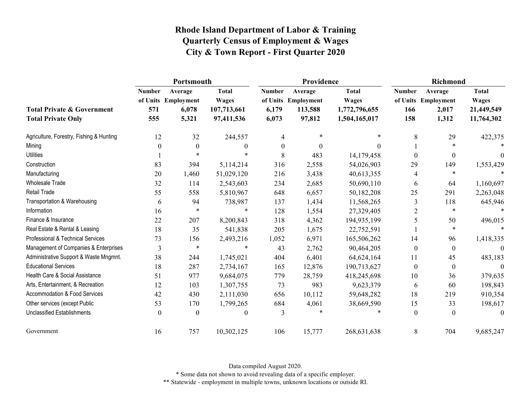|                                                                    | Portsmouth                  |                                                  |                                                           |                                 | Providence                                          |                                                                | <b>Richmond</b>             |                                                  |                                                          |
|--------------------------------------------------------------------|-----------------------------|--------------------------------------------------|-----------------------------------------------------------|---------------------------------|-----------------------------------------------------|----------------------------------------------------------------|-----------------------------|--------------------------------------------------|----------------------------------------------------------|
| <b>Total Private &amp; Government</b><br><b>Total Private Only</b> | <b>Number</b><br>571<br>555 | Average<br>of Units Employment<br>6,078<br>5,321 | <b>Total</b><br><b>Wages</b><br>107,713,661<br>97,411,536 | <b>Number</b><br>6,179<br>6,073 | Average<br>of Units Employment<br>113,588<br>97,812 | <b>Total</b><br><b>Wages</b><br>1,772,796,655<br>1,504,165,017 | <b>Number</b><br>166<br>158 | Average<br>of Units Employment<br>2,017<br>1,312 | <b>Total</b><br><b>Wages</b><br>21,449,549<br>11,764,302 |
| Agriculture, Forestry, Fishing & Hunting                           | 12                          | 32                                               | 244,557                                                   | 4                               | $\ast$                                              | $\ast$                                                         | 8                           | 29                                               | 422,375                                                  |
| Mining                                                             | 0                           | $\theta$                                         | $\theta$                                                  | $\boldsymbol{0}$                | $\Omega$                                            | $\Omega$                                                       |                             | $\ast$                                           |                                                          |
| <b>Utilities</b>                                                   |                             |                                                  |                                                           | 8                               | 483                                                 | 14,179,458                                                     | $\theta$                    | $\boldsymbol{0}$                                 | $\theta$                                                 |
| Construction                                                       | 83                          | 394                                              | 5,114,214                                                 | 316                             | 2,558                                               | 54,026,903                                                     | 29                          | 149                                              | 1,553,429                                                |
| Manufacturing                                                      | 20                          | 1,460                                            | 51,029,120                                                | 216                             | 3,438                                               | 40,613,355                                                     | 4                           | $\ast$                                           |                                                          |
| <b>Wholesale Trade</b>                                             | 32                          | 114                                              | 2,543,603                                                 | 234                             | 2,685                                               | 50,690,110                                                     | 6                           | 64                                               | 1,160,697                                                |
| <b>Retail Trade</b>                                                | 55                          | 558                                              | 5,810,967                                                 | 648                             | 6,657                                               | 50,182,208                                                     | 25                          | 291                                              | 2,263,048                                                |
| Transportation & Warehousing                                       | 6                           | 94                                               | 738,987                                                   | 137                             | 1,434                                               | 11,568,265                                                     | 3                           | 118                                              | 645,946                                                  |
| Information                                                        | 16                          | $\ast$                                           | *                                                         | 128                             | 1,554                                               | 27,329,405                                                     | $\overline{2}$              | $\ast$                                           |                                                          |
| Finance & Insurance                                                | 22                          | 207                                              | 8,200,843                                                 | 318                             | 4,362                                               | 194,935,199                                                    | 5                           | 50                                               | 496,015                                                  |
| Real Estate & Rental & Leasing                                     | 18                          | 35                                               | 541,838                                                   | 205                             | 1,675                                               | 22,752,591                                                     |                             | $\ast$                                           | $\ast$                                                   |
| Professional & Technical Services                                  | 73                          | 156                                              | 2,493,216                                                 | 1,052                           | 6,971                                               | 165,506,262                                                    | 14                          | 96                                               | 1,418,335                                                |
| Management of Companies & Enterprises                              | 3                           | $\ast$                                           | $\ast$                                                    | 43                              | 2,762                                               | 90,464,205                                                     | $\theta$                    | $\mathbf{0}$                                     | $\Omega$                                                 |
| Administrative Support & Waste Mngmnt.                             | 38                          | 244                                              | 1,745,021                                                 | 404                             | 6,401                                               | 64,624,164                                                     | 11                          | 45                                               | 483,183                                                  |
| <b>Educational Services</b>                                        | 18                          | 287                                              | 2,734,167                                                 | 165                             | 12,876                                              | 190,713,627                                                    | $\mathbf{0}$                | $\boldsymbol{0}$                                 | $\Omega$                                                 |
| Health Care & Social Assistance                                    | 51                          | 977                                              | 9,684,075                                                 | 779                             | 28,759                                              | 418,245,698                                                    | 10                          | 36                                               | 379,635                                                  |
| Arts, Entertainment, & Recreation                                  | 12                          | 103                                              | 1,307,755                                                 | 73                              | 983                                                 | 9,623,379                                                      | 6                           | 60                                               | 198,843                                                  |
| <b>Accommodation &amp; Food Services</b>                           | 42                          | 430                                              | 2,111,030                                                 | 656                             | 10,112                                              | 59,648,282                                                     | 18                          | 219                                              | 910,354                                                  |
| Other services (except Public                                      | 53                          | 170                                              | 1,799,265                                                 | 684                             | 4,061                                               | 38,669,590                                                     | 15                          | 33                                               | 198,617                                                  |
| <b>Unclassified Establishments</b>                                 | 0                           | $\boldsymbol{0}$                                 | $\mathbf{0}$                                              | 3                               | $\ast$                                              | $\ast$                                                         | $\theta$                    | $\boldsymbol{0}$                                 | $\theta$                                                 |
| Government                                                         | 16                          | 757                                              | 10,302,125                                                | 106                             | 15,777                                              | 268,631,638                                                    | 8                           | 704                                              | 9,685,247                                                |

Data compiled August 2020.

\* Some data not shown to avoid revealing data of a specific employer.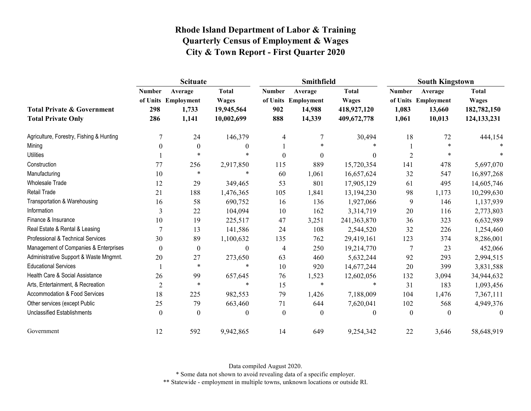|                                                                    | <b>Scituate</b>             |                                                  |                                                          |                             | Smithfield                                         |                                                            | <b>South Kingstown</b>          |                                                    |                                                              |  |
|--------------------------------------------------------------------|-----------------------------|--------------------------------------------------|----------------------------------------------------------|-----------------------------|----------------------------------------------------|------------------------------------------------------------|---------------------------------|----------------------------------------------------|--------------------------------------------------------------|--|
| <b>Total Private &amp; Government</b><br><b>Total Private Only</b> | <b>Number</b><br>298<br>286 | Average<br>of Units Employment<br>1,733<br>1,141 | <b>Total</b><br><b>Wages</b><br>19,945,564<br>10,002,699 | <b>Number</b><br>902<br>888 | Average<br>of Units Employment<br>14,988<br>14,339 | <b>Total</b><br><b>Wages</b><br>418,927,120<br>409,672,778 | <b>Number</b><br>1,083<br>1,061 | Average<br>of Units Employment<br>13,660<br>10,013 | <b>Total</b><br><b>Wages</b><br>182,782,150<br>124, 133, 231 |  |
| Agriculture, Forestry, Fishing & Hunting                           | 7                           | 24                                               | 146,379                                                  | 4                           |                                                    | 30,494                                                     | 18                              | 72                                                 | 444,154                                                      |  |
| Mining                                                             | 0                           | $\mathbf{0}$                                     | $\theta$                                                 |                             | $\ast$                                             |                                                            |                                 | $\ast$                                             |                                                              |  |
| <b>Utilities</b>                                                   |                             | $\ast$                                           | *                                                        | $\theta$                    | $\theta$                                           | $\theta$                                                   | $\overline{2}$                  | *                                                  |                                                              |  |
| Construction                                                       | 77                          | 256                                              | 2,917,850                                                | 115                         | 889                                                | 15,720,354                                                 | 141                             | 478                                                | 5,697,070                                                    |  |
| Manufacturing                                                      | 10                          | $\ast$                                           | $\ast$                                                   | 60                          | 1,061                                              | 16,657,624                                                 | 32                              | 547                                                | 16,897,268                                                   |  |
| <b>Wholesale Trade</b>                                             | 12                          | 29                                               | 349,465                                                  | 53                          | 801                                                | 17,905,129                                                 | 61                              | 495                                                | 14,605,746                                                   |  |
| <b>Retail Trade</b>                                                | 21                          | 188                                              | 1,476,365                                                | 105                         | 1,841                                              | 13,194,230                                                 | 98                              | 1,173                                              | 10,299,630                                                   |  |
| Transportation & Warehousing                                       | 16                          | 58                                               | 690,752                                                  | 16                          | 136                                                | 1,927,066                                                  | 9                               | 146                                                | 1,137,939                                                    |  |
| Information                                                        | 3                           | 22                                               | 104,094                                                  | 10                          | 162                                                | 3,314,719                                                  | 20                              | 116                                                | 2,773,803                                                    |  |
| Finance & Insurance                                                | 10                          | 19                                               | 225,517                                                  | 47                          | 3,251                                              | 241,363,870                                                | 36                              | 323                                                | 6,632,989                                                    |  |
| Real Estate & Rental & Leasing                                     | 7                           | 13                                               | 141,586                                                  | 24                          | 108                                                | 2,544,520                                                  | 32                              | 226                                                | 1,254,460                                                    |  |
| Professional & Technical Services                                  | 30                          | 89                                               | 1,100,632                                                | 135                         | 762                                                | 29,419,161                                                 | 123                             | 374                                                | 8,286,001                                                    |  |
| Management of Companies & Enterprises                              | 0                           | $\boldsymbol{0}$                                 | $\boldsymbol{0}$                                         | 4                           | 250                                                | 19,214,770                                                 | 7                               | 23                                                 | 452,066                                                      |  |
| Administrative Support & Waste Mngmnt.                             | 20                          | 27                                               | 273,650                                                  | 63                          | 460                                                | 5,632,244                                                  | 92                              | 293                                                | 2,994,515                                                    |  |
| <b>Educational Services</b>                                        |                             | $\ast$                                           | $\ast$                                                   | 10                          | 920                                                | 14,677,244                                                 | 20                              | 399                                                | 3,831,588                                                    |  |
| Health Care & Social Assistance                                    | 26                          | 99                                               | 657,645                                                  | 76                          | 1,523                                              | 12,602,056                                                 | 132                             | 3,094                                              | 34,944,632                                                   |  |
| Arts, Entertainment, & Recreation                                  | $\overline{2}$              | $\ast$                                           | $\ast$                                                   | 15                          | $\ast$                                             | $\star$                                                    | 31                              | 183                                                | 1,093,456                                                    |  |
| Accommodation & Food Services                                      | 18                          | 225                                              | 982,553                                                  | 79                          | 1,426                                              | 7,188,009                                                  | 104                             | 1,476                                              | 7,367,111                                                    |  |
| Other services (except Public                                      | 25                          | 79                                               | 663,460                                                  | 71                          | 644                                                | 7,620,041                                                  | 102                             | 568                                                | 4,949,376                                                    |  |
| <b>Unclassified Establishments</b>                                 | 0                           | $\Omega$                                         | $\mathbf{0}$                                             | $\overline{0}$              | $\mathbf{0}$                                       | $\theta$                                                   | $\theta$                        | $\theta$                                           | $\theta$                                                     |  |
| Government                                                         | 12                          | 592                                              | 9,942,865                                                | 14                          | 649                                                | 9,254,342                                                  | 22                              | 3,646                                              | 58,648,919                                                   |  |

Data compiled August 2020.

\* Some data not shown to avoid revealing data of a specific employer.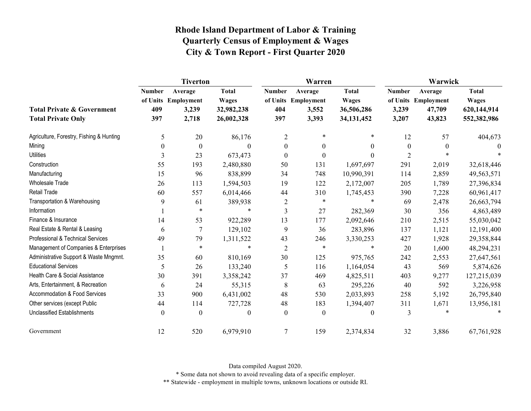|                                                                    | <b>Tiverton</b>             |                                                  |                                                          |                             | Warren                                           |                                                            | Warwick                         |                                                    |                                                            |  |
|--------------------------------------------------------------------|-----------------------------|--------------------------------------------------|----------------------------------------------------------|-----------------------------|--------------------------------------------------|------------------------------------------------------------|---------------------------------|----------------------------------------------------|------------------------------------------------------------|--|
| <b>Total Private &amp; Government</b><br><b>Total Private Only</b> | <b>Number</b><br>409<br>397 | Average<br>of Units Employment<br>3,239<br>2,718 | <b>Total</b><br><b>Wages</b><br>32,982,238<br>26,002,328 | <b>Number</b><br>404<br>397 | Average<br>of Units Employment<br>3,552<br>3,393 | <b>Total</b><br><b>Wages</b><br>36,506,286<br>34, 131, 452 | <b>Number</b><br>3,239<br>3,207 | Average<br>of Units Employment<br>47,709<br>43,823 | <b>Total</b><br><b>Wages</b><br>620,144,914<br>552,382,986 |  |
| Agriculture, Forestry, Fishing & Hunting                           | 5                           | 20                                               | 86,176                                                   | $\overline{2}$              | $\ast$                                           | *                                                          | 12                              | 57                                                 | 404,673                                                    |  |
| Mining                                                             | $\theta$                    | $\boldsymbol{0}$                                 | $\Omega$                                                 | $\boldsymbol{0}$            | $\theta$                                         | $\overline{0}$                                             | $\mathbf{0}$                    | 0                                                  | $\theta$                                                   |  |
| <b>Utilities</b>                                                   | 3                           | 23                                               | 673,473                                                  | $\boldsymbol{0}$            | $\boldsymbol{0}$                                 | $\theta$                                                   | $\overline{2}$                  |                                                    |                                                            |  |
| Construction                                                       | 55                          | 193                                              | 2,480,880                                                | 50                          | 131                                              | 1,697,697                                                  | 291                             | 2,019                                              | 32,618,446                                                 |  |
| Manufacturing                                                      | 15                          | 96                                               | 838,899                                                  | 34                          | 748                                              | 10,990,391                                                 | 114                             | 2,859                                              | 49,563,571                                                 |  |
| <b>Wholesale Trade</b>                                             | 26                          | 113                                              | 1,594,503                                                | 19                          | 122                                              | 2,172,007                                                  | 205                             | 1,789                                              | 27,396,834                                                 |  |
| Retail Trade                                                       | 60                          | 557                                              | 6,014,466                                                | 44                          | 310                                              | 1,745,453                                                  | 390                             | 7,228                                              | 60,961,417                                                 |  |
| Transportation & Warehousing                                       | 9                           | 61                                               | 389,938                                                  | $\overline{c}$              | $\ast$                                           | $\ast$                                                     | 69                              | 2,478                                              | 26,663,794                                                 |  |
| Information                                                        |                             | $\ast$                                           | $\ast$                                                   | 3                           | 27                                               | 282,369                                                    | 30                              | 356                                                | 4,863,489                                                  |  |
| Finance & Insurance                                                | 14                          | 53                                               | 922,289                                                  | 13                          | 177                                              | 2,092,646                                                  | 210                             | 2,515                                              | 55,030,042                                                 |  |
| Real Estate & Rental & Leasing                                     | 6                           | 7                                                | 129,102                                                  | 9                           | 36                                               | 283,896                                                    | 137                             | 1,121                                              | 12,191,400                                                 |  |
| Professional & Technical Services                                  | 49                          | 79                                               | 1,311,522                                                | 43                          | 246                                              | 3,330,253                                                  | 427                             | 1,928                                              | 29,358,844                                                 |  |
| Management of Companies & Enterprises                              |                             | $\ast$                                           |                                                          | $\overline{2}$              | $\ast$                                           | $\ast$                                                     | 20                              | 1,600                                              | 48,294,231                                                 |  |
| Administrative Support & Waste Mngmnt.                             | 35                          | 60                                               | 810,169                                                  | 30                          | 125                                              | 975,765                                                    | 242                             | 2,553                                              | 27,647,561                                                 |  |
| <b>Educational Services</b>                                        | 5                           | 26                                               | 133,240                                                  | 5                           | 116                                              | 1,164,054                                                  | 43                              | 569                                                | 5,874,626                                                  |  |
| Health Care & Social Assistance                                    | 30                          | 391                                              | 3,358,242                                                | 37                          | 469                                              | 4,825,511                                                  | 403                             | 9,277                                              | 127,215,039                                                |  |
| Arts, Entertainment, & Recreation                                  | 6                           | 24                                               | 55,315                                                   | 8                           | 63                                               | 295,226                                                    | 40                              | 592                                                | 3,226,958                                                  |  |
| <b>Accommodation &amp; Food Services</b>                           | 33                          | 900                                              | 6,431,002                                                | 48                          | 530                                              | 2,033,893                                                  | 258                             | 5,192                                              | 26,795,840                                                 |  |
| Other services (except Public                                      | 44                          | 114                                              | 727,728                                                  | 48                          | 183                                              | 1,394,407                                                  | 311                             | 1,671                                              | 13,956,181                                                 |  |
| <b>Unclassified Establishments</b>                                 | $\boldsymbol{0}$            | $\boldsymbol{0}$                                 | $\theta$                                                 | $\mathbf{0}$                | $\boldsymbol{0}$                                 | $\mathbf{0}$                                               | 3                               | $\ast$                                             | $\ast$                                                     |  |
| Government                                                         | 12                          | 520                                              | 6,979,910                                                | 7                           | 159                                              | 2,374,834                                                  | 32                              | 3,886                                              | 67,761,928                                                 |  |

Data compiled August 2020.

\* Some data not shown to avoid revealing data of a specific employer.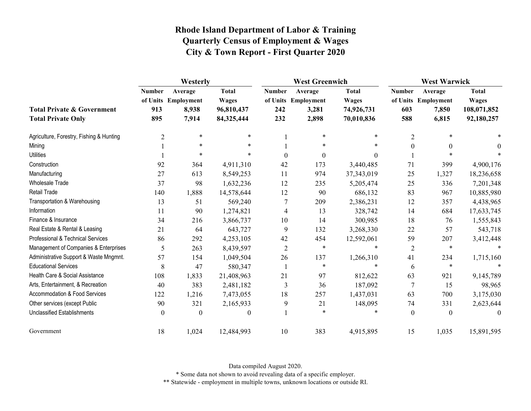|                                                                    | Westerly                    |                                                  |                                                          | <b>West Greenwich</b>       |                                                  |                                                          | <b>West Warwick</b>         |                                                  |                                                           |
|--------------------------------------------------------------------|-----------------------------|--------------------------------------------------|----------------------------------------------------------|-----------------------------|--------------------------------------------------|----------------------------------------------------------|-----------------------------|--------------------------------------------------|-----------------------------------------------------------|
| <b>Total Private &amp; Government</b><br><b>Total Private Only</b> | <b>Number</b><br>913<br>895 | Average<br>of Units Employment<br>8,938<br>7,914 | <b>Total</b><br><b>Wages</b><br>96,810,437<br>84,325,444 | <b>Number</b><br>242<br>232 | Average<br>of Units Employment<br>3,281<br>2,898 | <b>Total</b><br><b>Wages</b><br>74,926,731<br>70,010,836 | <b>Number</b><br>603<br>588 | Average<br>of Units Employment<br>7,850<br>6,815 | <b>Total</b><br><b>Wages</b><br>108,071,852<br>92,180,257 |
| Agriculture, Forestry, Fishing & Hunting                           | $\overline{2}$              | $\ast$                                           | $\ast$                                                   |                             | $\ast$                                           | $\ast$                                                   | 2                           | $\ast$                                           |                                                           |
| Mining                                                             |                             | $\ast$                                           | $\ast$                                                   |                             | $\ast$                                           |                                                          | $\Omega$                    | $\mathbf{0}$                                     | $\theta$                                                  |
| <b>Utilities</b>                                                   |                             | $\ast$                                           | $\ast$                                                   | $\boldsymbol{0}$            | $\boldsymbol{0}$                                 | $\theta$                                                 |                             | $\star$                                          |                                                           |
| Construction                                                       | 92                          | 364                                              | 4,911,310                                                | 42                          | 173                                              | 3,440,485                                                | 71                          | 399                                              | 4,900,176                                                 |
| Manufacturing                                                      | 27                          | 613                                              | 8,549,253                                                | 11                          | 974                                              | 37,343,019                                               | 25                          | 1,327                                            | 18,236,658                                                |
| <b>Wholesale Trade</b>                                             | 37                          | 98                                               | 1,632,236                                                | 12                          | 235                                              | 5,205,474                                                | 25                          | 336                                              | 7,201,348                                                 |
| <b>Retail Trade</b>                                                | 140                         | 1,888                                            | 14,578,644                                               | 12                          | 90                                               | 686,132                                                  | 83                          | 967                                              | 10,885,980                                                |
| Transportation & Warehousing                                       | 13                          | 51                                               | 569,240                                                  | 7                           | 209                                              | 2,386,231                                                | 12                          | 357                                              | 4,438,965                                                 |
| Information                                                        | 11                          | 90                                               | 1,274,821                                                | 4                           | 13                                               | 328,742                                                  | 14                          | 684                                              | 17,633,745                                                |
| Finance & Insurance                                                | 34                          | 216                                              | 3,866,737                                                | 10                          | 14                                               | 300,985                                                  | 18                          | 76                                               | 1,555,843                                                 |
| Real Estate & Rental & Leasing                                     | 21                          | 64                                               | 643,727                                                  | 9                           | 132                                              | 3,268,330                                                | 22                          | 57                                               | 543,718                                                   |
| Professional & Technical Services                                  | 86                          | 292                                              | 4,253,105                                                | 42                          | 454                                              | 12,592,061                                               | 59                          | 207                                              | 3,412,448                                                 |
| Management of Companies & Enterprises                              | 5                           | 263                                              | 8,439,597                                                | $\overline{2}$              | $\ast$                                           |                                                          | $\overline{2}$              | $\ast$                                           |                                                           |
| Administrative Support & Waste Mngmnt.                             | 57                          | 154                                              | 1,049,504                                                | 26                          | 137                                              | 1,266,310                                                | 41                          | 234                                              | 1,715,160                                                 |
| <b>Educational Services</b>                                        | 8                           | 47                                               | 580,347                                                  |                             | $\ast$                                           | $\ast$                                                   | 6                           | $\ast$                                           |                                                           |
| Health Care & Social Assistance                                    | 108                         | 1,833                                            | 21,408,963                                               | 21                          | 97                                               | 812,622                                                  | 63                          | 921                                              | 9,145,789                                                 |
| Arts, Entertainment, & Recreation                                  | 40                          | 383                                              | 2,481,182                                                | 3                           | 36                                               | 187,092                                                  | $\overline{7}$              | 15                                               | 98,965                                                    |
| <b>Accommodation &amp; Food Services</b>                           | 122                         | 1,216                                            | 7,473,055                                                | 18                          | 257                                              | 1,437,031                                                | 63                          | 700                                              | 3,175,030                                                 |
| Other services (except Public                                      | 90                          | 321                                              | 2,165,933                                                | 9                           | 21                                               | 148,095                                                  | 74                          | 331                                              | 2,623,644                                                 |
| <b>Unclassified Establishments</b>                                 | $\boldsymbol{0}$            | $\theta$                                         | $\theta$                                                 |                             | $\ast$                                           |                                                          | $\theta$                    | $\boldsymbol{0}$                                 | $\Omega$                                                  |
| Government                                                         | 18                          | 1,024                                            | 12,484,993                                               | 10                          | 383                                              | 4,915,895                                                | 15                          | 1,035                                            | 15,891,595                                                |

Data compiled August 2020.

\* Some data not shown to avoid revealing data of a specific employer.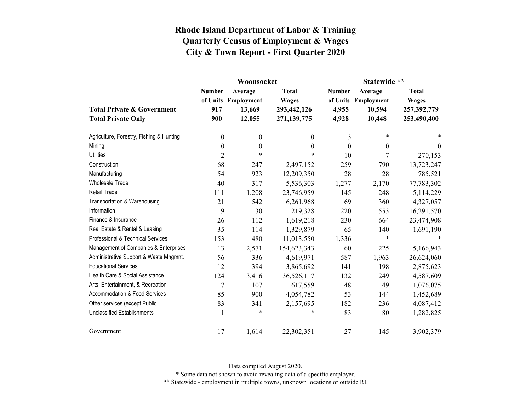|                                          |                  | Woonsocket                     |                              | Statewide **                       |                       |                                             |  |
|------------------------------------------|------------------|--------------------------------|------------------------------|------------------------------------|-----------------------|---------------------------------------------|--|
|                                          | <b>Number</b>    | Average<br>of Units Employment | <b>Total</b><br><b>Wages</b> | <b>Number</b><br>of Units<br>4,955 | Average<br>Employment | <b>Total</b><br><b>Wages</b><br>257,392,779 |  |
| <b>Total Private &amp; Government</b>    | 917              | 13,669<br>12,055               | 293,442,126                  |                                    | 10,594                |                                             |  |
| <b>Total Private Only</b>                | 900              |                                | 271,139,775                  | 4,928                              | 10,448                | 253,490,400                                 |  |
| Agriculture, Forestry, Fishing & Hunting | 0                | $\boldsymbol{0}$               | 0                            | 3                                  | $\ast$                | *                                           |  |
| Mining                                   | $\boldsymbol{0}$ | $\boldsymbol{0}$               | $\boldsymbol{0}$             | $\boldsymbol{0}$                   | $\mathbf{0}$          | $\theta$                                    |  |
| <b>Utilities</b>                         | $\overline{2}$   | $\ast$                         | $\ast$                       | 10                                 | 7                     | 270,153                                     |  |
| Construction                             | 68               | 247                            | 2,497,152                    | 259                                | 790                   | 13,723,247                                  |  |
| Manufacturing                            | 54               | 923                            | 12,209,350                   | 28                                 | 28                    | 785,521                                     |  |
| <b>Wholesale Trade</b>                   | 40               | 317                            | 5,536,303                    | 1,277                              | 2,170                 | 77,783,302                                  |  |
| <b>Retail Trade</b>                      | 111              | 1,208                          | 23,746,959                   | 145                                | 248                   | 5,114,229                                   |  |
| Transportation & Warehousing             | 21               | 542                            | 6,261,968                    | 69                                 | 360                   | 4,327,057                                   |  |
| Information                              | 9                | 30                             | 219,328                      | 220                                | 553                   | 16,291,570                                  |  |
| Finance & Insurance                      | 26               | 112                            | 1,619,218                    | 230                                | 664                   | 23,474,908                                  |  |
| Real Estate & Rental & Leasing           | 35               | 114                            | 1,329,879                    | 65                                 | 140                   | 1,691,190                                   |  |
| Professional & Technical Services        | 153              | 480                            | 11,013,550                   | 1,336                              | $\ast$                |                                             |  |
| Management of Companies & Enterprises    | 13               | 2,571                          | 154,623,343                  | 60                                 | 225                   | 5,166,943                                   |  |
| Administrative Support & Waste Mngmnt.   | 56               | 336                            | 4,619,971                    | 587                                | 1,963                 | 26,624,060                                  |  |
| <b>Educational Services</b>              | 12               | 394                            | 3,865,692                    | 141                                | 198                   | 2,875,623                                   |  |
| Health Care & Social Assistance          | 124              | 3,416                          | 36,526,117                   | 132                                | 249                   | 4,587,609                                   |  |
| Arts, Entertainment, & Recreation        | 7                | 107                            | 617,559                      | 48                                 | 49                    | 1,076,075                                   |  |
| Accommodation & Food Services            | 85               | 900                            | 4,054,782                    | 53                                 | 144                   | 1,452,689                                   |  |
| Other services (except Public            | 83               | 341                            | 2,157,695                    | 182                                | 236                   | 4,087,412                                   |  |
| <b>Unclassified Establishments</b>       | 1                | $\ast$                         | $\ast$                       | 83                                 | 80                    | 1,282,825                                   |  |
| Government                               | 17               | 1,614                          | 22,302,351                   | 27                                 | 145                   | 3,902,379                                   |  |

Data compiled August 2020.

\* Some data not shown to avoid revealing data of a specific employer.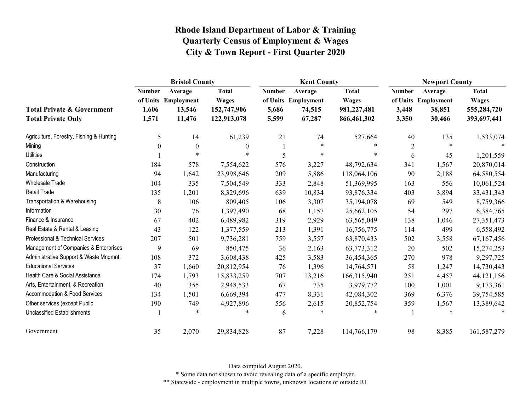|                                          | <b>Bristol County</b> |                                |                              | <b>Kent County</b> |                                |                              | <b>Newport County</b> |                                |                              |
|------------------------------------------|-----------------------|--------------------------------|------------------------------|--------------------|--------------------------------|------------------------------|-----------------------|--------------------------------|------------------------------|
|                                          | <b>Number</b>         | Average<br>of Units Employment | <b>Total</b><br><b>Wages</b> | <b>Number</b>      | Average<br>of Units Employment | <b>Total</b><br><b>Wages</b> | <b>Number</b>         | Average<br>of Units Employment | <b>Total</b><br><b>Wages</b> |
| <b>Total Private &amp; Government</b>    | 1,606                 | 13,546                         | 152,747,906                  | 5,686              | 74,515                         | 981,227,481                  | 3,448                 | 38,851                         | 555,284,720                  |
| <b>Total Private Only</b>                | 1,571                 | 11,476                         | 122,913,078                  | 5,599              | 67,287                         | 866,461,302                  | 3,350                 | 30,466                         | 393,697,441                  |
| Agriculture, Forestry, Fishing & Hunting | 5                     | 14                             | 61,239                       | 21                 | 74                             | 527,664                      | 40                    | 135                            | 1,533,074                    |
| Mining                                   | 0                     | $\theta$                       | $\bf{0}$                     |                    | $\ast$                         |                              | $\overline{c}$        | $\ast$                         |                              |
| <b>Utilities</b>                         |                       | $\ast$                         | $\ast$                       | 5                  | $\ast$                         | $\ast$                       | 6                     | 45                             | 1,201,559                    |
| Construction                             | 184                   | 578                            | 7,554,622                    | 576                | 3,227                          | 48,792,634                   | 341                   | 1,567                          | 20,870,014                   |
| Manufacturing                            | 94                    | 1,642                          | 23,998,646                   | 209                | 5,886                          | 118,064,106                  | 90                    | 2,188                          | 64,580,554                   |
| <b>Wholesale Trade</b>                   | 104                   | 335                            | 7,504,549                    | 333                | 2,848                          | 51,369,995                   | 163                   | 556                            | 10,061,524                   |
| <b>Retail Trade</b>                      | 135                   | 1,201                          | 8,329,696                    | 639                | 10,834                         | 93,876,334                   | 403                   | 3,894                          | 33,431,343                   |
| Transportation & Warehousing             | 8                     | 106                            | 809,405                      | 106                | 3,307                          | 35,194,078                   | 69                    | 549                            | 8,759,366                    |
| Information                              | 30                    | 76                             | 1,397,490                    | 68                 | 1,157                          | 25,662,105                   | 54                    | 297                            | 6,384,765                    |
| Finance & Insurance                      | 67                    | 402                            | 6,489,982                    | 319                | 2,929                          | 63,565,049                   | 138                   | 1,046                          | 27,351,473                   |
| Real Estate & Rental & Leasing           | 43                    | 122                            | 1,377,559                    | 213                | 1,391                          | 16,756,775                   | 114                   | 499                            | 6,558,492                    |
| Professional & Technical Services        | 207                   | 501                            | 9,736,281                    | 759                | 3,557                          | 63,870,433                   | 502                   | 3,558                          | 67,167,456                   |
| Management of Companies & Enterprises    | 9                     | 69                             | 850,475                      | 36                 | 2,163                          | 63,773,312                   | 20                    | 502                            | 15,274,253                   |
| Administrative Support & Waste Mngmnt.   | 108                   | 372                            | 3,608,438                    | 425                | 3,583                          | 36,454,365                   | 270                   | 978                            | 9,297,725                    |
| <b>Educational Services</b>              | 37                    | 1,660                          | 20,812,954                   | 76                 | 1,396                          | 14,764,571                   | 58                    | 1,247                          | 14,730,443                   |
| Health Care & Social Assistance          | 174                   | 1,793                          | 15,833,259                   | 707                | 13,216                         | 166,315,940                  | 251                   | 4,457                          | 44,121,156                   |
| Arts, Entertainment, & Recreation        | 40                    | 355                            | 2,948,533                    | 67                 | 735                            | 3,979,772                    | 100                   | 1,001                          | 9,173,361                    |
| Accommodation & Food Services            | 134                   | 1,501                          | 6,669,394                    | 477                | 8,331                          | 42,084,302                   | 369                   | 6,376                          | 39,754,585                   |
| Other services (except Public            | 190                   | 749                            | 4,927,896                    | 556                | 2,615                          | 20,852,754                   | 359                   | 1,567                          | 13,389,642                   |
| <b>Unclassified Establishments</b>       |                       | $\ast$                         | $\ast$                       | 6                  | $\ast$                         |                              |                       | $\ast$                         |                              |
| Government                               | 35                    | 2,070                          | 29,834,828                   | 87                 | 7,228                          | 114,766,179                  | 98                    | 8,385                          | 161,587,279                  |

Data compiled August 2020.

\* Some data not shown to avoid revealing data of a specific employer.